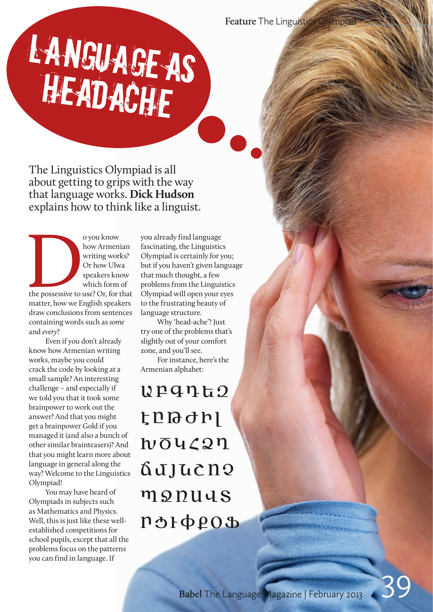# LANGUAGE AS **HEADACHE**

The Linguistics Olympiad is all about getting to grips with the way that language works. **Dick Hudson** explains how to think like a linguist.

o you know<br>
how Armen<br>
writing worl<br>
Or how Ulw<br>
speakers know<br>
which form<br>
the possessive to use? Or, for the matter house<br>
Figures and the speaker how Armenian writing works? Or how Ulwa speakers know which form of

the possessive to use? Or, for that matter, how we English speakers draw conclusions from sentences containing words such as *some*  and *every*?

Even if you don't already know how Armenian writing works, maybe you could crack the code by looking at a small sample? An interesting challenge – and especially if we told you that it took some brainpower to work out the answer? And that you might get a brainpower Gold if you managed it (and also a bunch of other similar brainteasers)? And that you might learn more about language in general along the way? Welcome to the Linguistics Olympiad!

You may have heard of Olympiads in subjects such as Mathematics and Physics. Well, this is just like these wellestablished competitions for school pupils, except that all the problems focus on the patterns you can find in language. If

you already find language fascinating, the Linguistics Olympiad is certainly for you; but if you haven't given language that much thought, a few problems from the Linguistics Olympiad will open your eyes to the frustrating beauty of language structure.

Why 'head-ache'? Just try one of the problems that's slightly out of your comfort zone, and you'll see.

For instance, here's the Armenian alphabet:

 $\mu$ pqnt2 t<sup>D</sup>Bdh hō4<27 Gujucno monuus rolopeos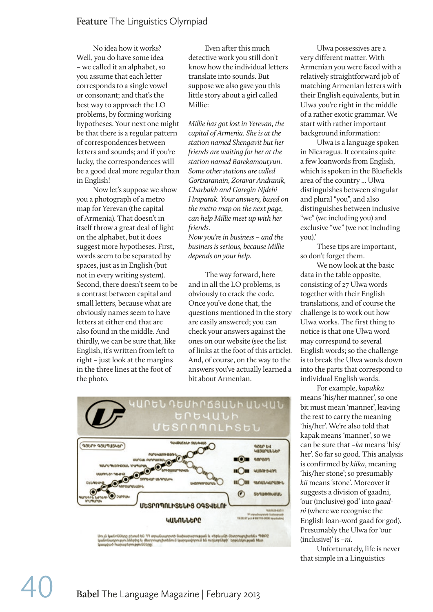No idea how it works? Well, you do have some idea – we called it an alphabet, so you assume that each letter corresponds to a single vowel or consonant; and that's the best way to approach the LO problems, by forming working hypotheses. Your next one might be that there is a regular pattern of correspondences between letters and sounds; and if you're lucky, the correspondences will be a good deal more regular than in English!

Now let's suppose we show you a photograph of a metro map for Yerevan (the capital of Armenia). That doesn't in itself throw a great deal of light on the alphabet, but it does suggest more hypotheses. First, words seem to be separated by spaces, just as in English (but not in every writing system). Second, there doesn't seem to be a contrast between capital and small letters, because what are obviously names seem to have letters at either end that are also found in the middle. And thirdly, we can be sure that, like English, it's written from left to right – just look at the margins in the three lines at the foot of the photo.

Even after this much detective work you still don't know how the individual letters translate into sounds. But suppose we also gave you this little story about a girl called Millie:

*Millie has got lost in Yerevan, the capital of Armenia. She is at the station named Shengavit but her friends are waiting for her at the station named Barekamoutyun. Some other stations are called Gortsaranain, Zoravar Andranik, Charbakh and Garegin Njdehi Hraparak. Your answers, based on the metro map on the next page, can help Millie meet up with her friends.*

*Now you're in business – and the business is serious, because Millie depends on your help.*

The way forward, here and in all the LO problems, is obviously to crack the code. Once you've done that, the questions mentioned in the story are easily answered; you can check your answers against the ones on our website (see the list of links at the foot of this article). And, of course, on the way to the answers you've actually learned a bit about Armenian.



Ulwa possessives are a very different matter. With Armenian you were faced with a relatively straightforward job of matching Armenian letters with their English equivalents, but in Ulwa you're right in the middle of a rather exotic grammar. We start with rather important background information:

Ulwa is a language spoken in Nicaragua. It contains quite a few loanwords from English, which is spoken in the Bluefields area of the country ... Ulwa distinguishes between singular and plural "you", and also distinguishes between inclusive "we" (we including you) and exclusive "we" (we not including you).'

These tips are important, so don't forget them.

We now look at the basic data in the table opposite, consisting of 27 Ulwa words together with their English translations, and of course the challenge is to work out how Ulwa works. The first thing to notice is that one Ulwa word may correspond to several English words; so the challenge is to break the Ulwa words down into the parts that correspond to individual English words.

For example, *kapakka*  means 'his/her manner', so one bit must mean 'manner', leaving the rest to carry the meaning 'his/her'. We're also told that kapak means 'manner', so we can be sure that *–ka* means 'his/ her'. So far so good. This analysis is confirmed by *kiika*, meaning 'his/her stone'; so presumably *kii* means 'stone'. Moreover it suggests a division of gaadni, 'our (inclusive) god' into *gaadni* (where we recognise the English loan-word gaad for god). Presumably the Ulwa for 'our (inclusive)' is *–ni*.

Unfortunately, life is never that simple in a Linguistics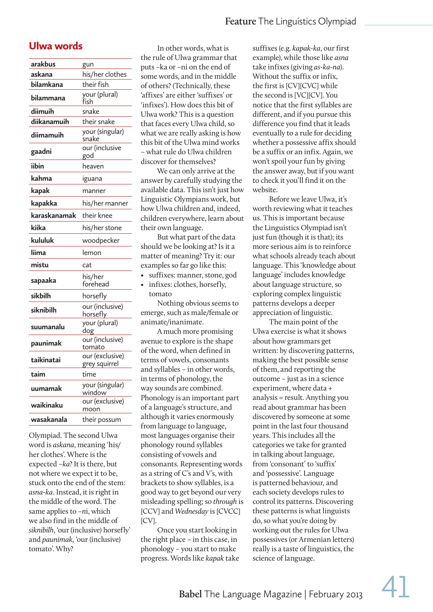### Ulwa words

| arakbus      | gun                              |
|--------------|----------------------------------|
| askana       | his/her clothes                  |
| bilamkana    | their fish                       |
| bilammana    | your (plural)<br>fish            |
| diimuih      | snake                            |
| diikanamuih  | their snake                      |
| diimamuih    | your (singular)<br>snake         |
| gaadni       | our (inclusive<br>god            |
| iibin        | heaven                           |
| kahma        | iguana                           |
| kapak        | manner                           |
| kapakka      | his/her manner                   |
| karaskanamak | their knee                       |
| kiika        | his/her stone                    |
| kululuk      | woodpecker                       |
| liima        | lemon                            |
| mistu        | cat                              |
| sapaaka      | his/her<br>forehead              |
| sikbilh      | horsefly                         |
| siknibilh    | our (inclusive)<br>horsefly      |
| suumanalu    | your (plural)<br>dog             |
| paunimak     | our (inclusive)<br>tomato        |
| taikinatai   | our (exclusive)<br>grey squirrel |
| taim         | time                             |
| uumamak      | your (singular)<br>window        |
| waikinaku    | our (exclusive)<br>moon          |
| wasakanala   | their possum                     |

Olympiad. The second Ulwa word is *askana*, meaning 'his/ her clothes'. Where is the expected *–ka*? It is there, but not where we expect it to be, stuck onto the end of the stem: *asna-ka*. Instead, it is right in the middle of the word. The same applies to *–n*i, which we also find in the middle of *siknibilh*, 'our (inclusive) horsefly' and *paunimak,* 'our (inclusive) tomato'. Why?

In other words, what is the rule of Ulwa grammar that puts –ka or –ni on the end of some words, and in the middle of others? (Technically, these 'affixes' are either 'suffixes' or 'infixes'). How does this bit of Ulwa work? This is a question that faces every Ulwa child, so what we are really asking is how this bit of the Ulwa mind works – what rule do Ulwa children discover for themselves?

We can only arrive at the answer by carefully studying the available data. This isn't just how Linguistic Olympians work, but how Ulwa children and, indeed, children everywhere, learn about their own language.

But what part of the data should we be looking at? Is it a matter of meaning? Try it: our examples so far go like this:

- suffixes: manner, stone, god
- infixes: clothes, horsefly, tomato

Nothing obvious seems to emerge, such as male/female or animate/inanimate.

A much more promising avenue to explore is the shape of the word, when defined in terms of vowels, consonants and syllables – in other words, in terms of phonology, the way sounds are combined. Phonology is an important part of a language's structure, and although it varies enormously from language to language, most languages organise their phonology round syllables consisting of vowels and consonants. Representing words as a string of C's and V's, with brackets to show syllables, is a good way to get beyond our very misleading spelling; so *through* is [CCV] and *Wednesday* is [CVCC] [CV].

Once you start looking in the right place – in this case, in phonology – you start to make progress. Words like *kapak* take suffixes (e.g. *kapak-ka*, our first example), while those like *asna* take infixes (giving *as-ka-na*). Without the suffix or infix, the first is [CV][CVC] while the second is [VC][CV]. You notice that the first syllables are different, and if you pursue this difference you find that it leads eventually to a rule for deciding whether a possessive affix should be a suffix or an infix. Again, we won't spoil your fun by giving the answer away, but if you want to check it you'll find it on the website.

Before we leave Ulwa, it's worth reviewing what it teaches us. This is important because the Linguistics Olympiad isn't just fun (though it is that); its more serious aim is to reinforce what schools already teach about language. This 'knowledge about language' includes knowledge about language structure, so exploring complex linguistic patterns develops a deeper appreciation of linguistic.

The main point of the Ulwa exercise is what it shows about how grammars get written: by discovering patterns, making the best possible sense of them, and reporting the outcome – just as in a science experiment, where data + analysis = result. Anything you read about grammar has been discovered by someone at some point in the last four thousand years. This includes all the categories we take for granted in talking about language, from 'consonant' to 'suffix' and 'possessive'. Language is patterned behaviour, and each society develops rules to control its patterns. Discovering these patterns is what linguists do, so what you're doing by working out the rules for Ulwa possessives (or Armenian letters) really is a taste of linguistics, the science of language.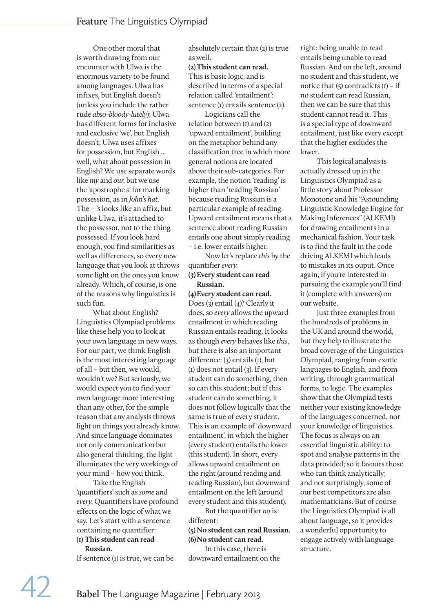One other moral that is worth drawing from our encounter with Ulwa is the enormous variety to be found among languages. Ulwa has infixes, but English doesn't (unless you include the rather rude *abso-bloody-lutely*); Ulwa has different forms for inclusive and exclusive 'we', but English doesn't; Ulwa uses affixes for possession, but English ... well, what about possession in English? We use separate words like *my* and *our*, but we use the 'apostrophe s' for marking possession, as in *John's hat*. The – 's looks like an affix, but unlike Ulwa, it's attached to the possessor, not to the thing possessed. If you look hard enough, you find similarities as well as differences, so every new language that you look at throws some light on the ones you know already. Which, of course, is one of the reasons why linguistics is such fun.

What about English? Linguistics Olympiad problems like these help you to look at your own language in new ways. For our part, we think English is the most interesting language of all – but then, we would, wouldn't we? But seriously, we would expect you to find your own language more interesting than any other, for the simple reason that any analysis throws light on things you already know. And since language dominates not only communication but also general thinking, the light illuminates the very workings of your mind – how you think.

Take the English 'quantifiers' such as *some* and *every*. Quantifiers have profound effects on the logic of what we say. Let's start with a sentence containing no quantifier: **(1) This student can read Russian.**

If sentence (1) is true, we can be

absolutely certain that (2) is true as well.

#### **(2)This student can read.** This is basic logic, and is described in terms of a special relation called 'entailment': sentence (1) entails sentence (2).

Logicians call the relation between  $(I)$  and  $(2)$ 'upward entailment', building on the metaphor behind any classification tree in which more general notions are located above their sub-categories. For example, the notion 'reading' is higher than 'reading Russian' because reading Russian is a particular example of reading. Upward entailment means that a sentence about reading Russian entails one about simply reading – i.e. lower entails higher.

Now let's replace *this* by the quantifier *every.* **(3)Every student can read** 

## **Russian.**

#### **(4)Every student can read.**

Does (3) entail (4)? Clearly it does, so *every* allows the upward entailment in which reading Russian entails reading. It looks as though *every* behaves like *this*, but there is also an important difference: (3) entails (1), but (1) does not entail (3). If every student can do something, then so can this student; but if this student can do something, it does not follow logically that the same is true of every student. This is an example of 'downward entailment', in which the higher (every student) entails the lower (this student). In short, every allows upward entailment on the right (around reading and reading Russian), but downward entailment on the left (around every student and this student).

But the quantifier *no* is different:

#### **(5) No student can read Russian. (6) No student can read.**

In this case, there is downward entailment on the right: being unable to read entails being unable to read Russian. And on the left, around no student and this student, we notice that  $(5)$  contradicts  $(I)$  – if no student can read Russian, then we can be sure that this student cannot read it. This is a special type of downward entailment, just like every except that the higher excludes the lower.

This logical analysis is actually dressed up in the Linguistics Olympiad as a little story about Professor Monotone and his "Astounding Linguistic Knowledge Engine for Making Inferences" (ALKEMI) for drawing entailments in a mechanical fashion. Your task is to find the fault in the code driving ALKEMI which leads to mistakes in its ouput. Once again, if you're interested in pursuing the example you'll find it (complete with answers) on our website.

Just three examples from the hundreds of problems in the UK and around the world, but they help to illustrate the broad coverage of the Linguistics Olympiad, ranging from exotic languages to English, and from writing, through grammatical forms, to logic. The examples show that the Olympiad tests neither your existing knowledge of the languages concerned, nor your knowledge of linguistics. The focus is always on an essential linguistic ability: to spot and analyse patterns in the data provided; so it favours those who can think analytically; and not surprisingly, some of our best competitors are also mathematicians. But of course the Linguistics Olympiad is all about language, so it provides a wonderful opportunity to engage actively with language structure.